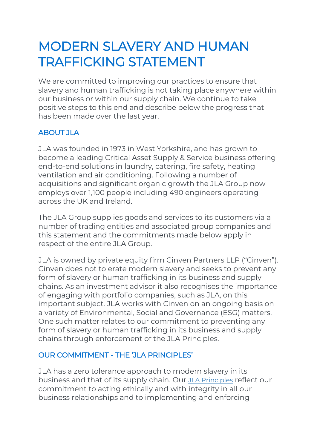# MODERN SLAVERY AND HUMAN TRAFFICKING STATEMENT

We are committed to improving our practices to ensure that slavery and human trafficking is not taking place anywhere within our business or within our supply chain. We continue to take positive steps to this end and describe below the progress that has been made over the last year.

# ABOUT JLA

JLA was founded in 1973 in West Yorkshire, and has grown to become a leading Critical Asset Supply & Service business offering end-to-end solutions in laundry, catering, fire safety, heating ventilation and air conditioning. Following a number of acquisitions and significant organic growth the JLA Group now employs over 1,100 people including 490 engineers operating across the UK and Ireland.

The JLA Group supplies goods and services to its customers via a number of trading entities and associated group companies and this statement and the commitments made below apply in respect of the entire JLA Group.

JLA is owned by private equity firm Cinven Partners LLP ("Cinven"). Cinven does not tolerate modern slavery and seeks to prevent any form of slavery or human trafficking in its business and supply chains. As an investment advisor it also recognises the importance of engaging with portfolio companies, such as JLA, on this important subject. JLA works with Cinven on an ongoing basis on a variety of Environmental, Social and Governance (ESG) matters. One such matter relates to our commitment to preventing any form of slavery or human trafficking in its business and supply chains through enforcement of the JLA Principles.

## OUR COMMITMENT - THE 'JLA PRINCIPLES'

JLA has a zero tolerance approach to modern slavery in its business and that of its supply chain. Our [JLA Principles](https://jla.com/legal) reflect our commitment to acting ethically and with integrity in all our business relationships and to implementing and enforcing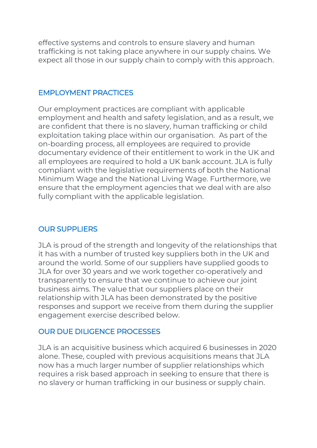effective systems and controls to ensure slavery and human trafficking is not taking place anywhere in our supply chains. We expect all those in our supply chain to comply with this approach.

#### EMPLOYMENT PRACTICES

Our employment practices are compliant with applicable employment and health and safety legislation, and as a result, we are confident that there is no slavery, human trafficking or child exploitation taking place within our organisation. As part of the on-boarding process, all employees are required to provide documentary evidence of their entitlement to work in the UK and all employees are required to hold a UK bank account. JLA is fully compliant with the legislative requirements of both the National Minimum Wage and the National Living Wage. Furthermore, we ensure that the employment agencies that we deal with are also fully compliant with the applicable legislation.

## OUR SUPPLIERS

JLA is proud of the strength and longevity of the relationships that it has with a number of trusted key suppliers both in the UK and around the world. Some of our suppliers have supplied goods to JLA for over 30 years and we work together co-operatively and transparently to ensure that we continue to achieve our joint business aims. The value that our suppliers place on their relationship with JLA has been demonstrated by the positive responses and support we receive from them during the supplier engagement exercise described below.

## OUR DUE DILIGENCE PROCESSES

JLA is an acquisitive business which acquired 6 businesses in 2020 alone. These, coupled with previous acquisitions means that JLA now has a much larger number of supplier relationships which requires a risk based approach in seeking to ensure that there is no slavery or human trafficking in our business or supply chain.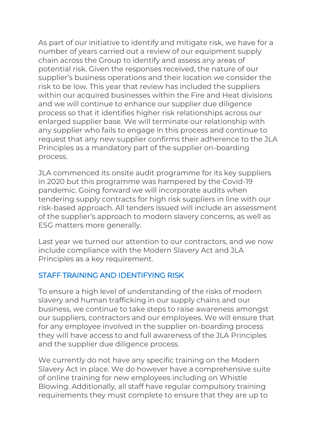As part of our initiative to identify and mitigate risk, we have for a number of years carried out a review of our equipment supply chain across the Group to identify and assess any areas of potential risk. Given the responses received, the nature of our supplier's business operations and their location we consider the risk to be low. This year that review has included the suppliers within our acquired businesses within the Fire and Heat divisions and we will continue to enhance our supplier due diligence process so that it identifies higher risk relationships across our enlarged supplier base. We will terminate our relationship with any supplier who fails to engage in this process and continue to request that any new supplier confirms their adherence to the JLA Principles as a mandatory part of the supplier on-boarding process.

JLA commenced its onsite audit programme for its key suppliers in 2020 but this programme was hampered by the Covid-19 pandemic. Going forward we will incorporate audits when tendering supply contracts for high risk suppliers in line with our risk-based approach. All tenders issued will include an assessment of the supplier's approach to modern slavery concerns, as well as ESG matters more generally.

Last year we turned our attention to our contractors, and we now include compliance with the Modern Slavery Act and JLA Principles as a key requirement.

#### STAFF TRAINING AND IDENTIFYING RISK

To ensure a high level of understanding of the risks of modern slavery and human trafficking in our supply chains and our business, we continue to take steps to raise awareness amongst our suppliers, contractors and our employees. We will ensure that for any employee involved in the supplier on-boarding process they will have access to and full awareness of the JLA Principles and the supplier due diligence process.

We currently do not have any specific training on the Modern Slavery Act in place. We do however have a comprehensive suite of online training for new employees including on Whistle Blowing. Additionally, all staff have regular compulsory training requirements they must complete to ensure that they are up to